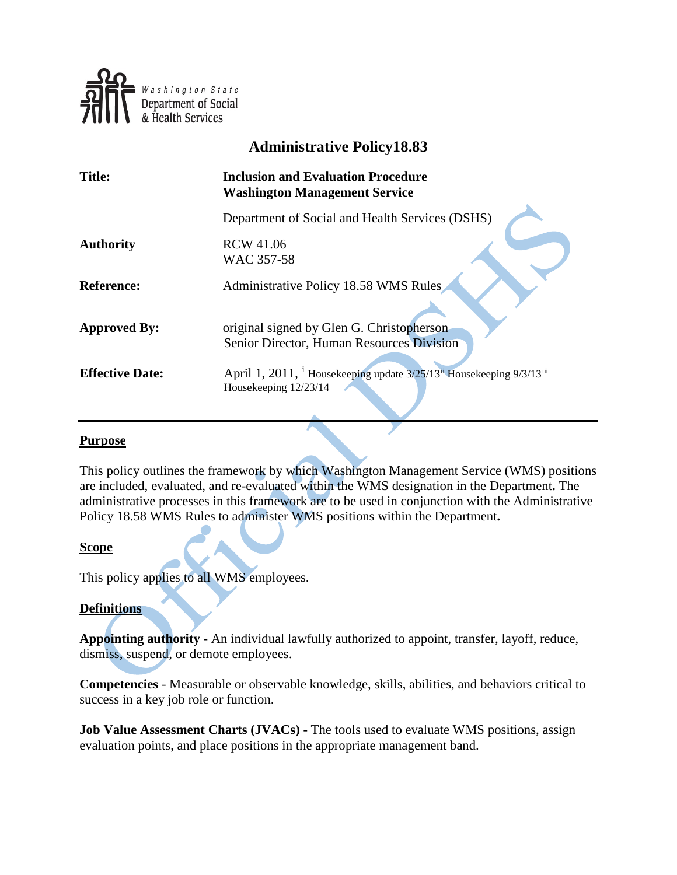

# **Administrative Policy18.83**

| <b>Title:</b>          | <b>Inclusion and Evaluation Procedure</b><br><b>Washington Management Service</b>                                                   |
|------------------------|-------------------------------------------------------------------------------------------------------------------------------------|
|                        | Department of Social and Health Services (DSHS)                                                                                     |
| <b>Authority</b>       | <b>RCW 41.06</b><br>WAC 357-58                                                                                                      |
| <b>Reference:</b>      | Administrative Policy 18.58 WMS Rules                                                                                               |
| <b>Approved By:</b>    | original signed by Glen G. Christopherson<br>Senior Director, Human Resources Division                                              |
| <b>Effective Date:</b> | April 1, 2011, <sup>i</sup> Housekeeping update $3/25/13$ <sup>ii</sup> Housekeeping 9/3/13 <sup>iii</sup><br>Housekeeping 12/23/14 |

#### **Purpose**

This policy outlines the framework by which Washington Management Service (WMS) positions are included, evaluated, and re-evaluated within the WMS designation in the Department**.** The administrative processes in this framework are to be used in conjunction with the Administrative Policy 18.58 WMS Rules to administer WMS positions within the Department**.**

#### **Scope**

This policy applies to all WMS employees.

#### **Definitions**

**Appointing authority** - An individual lawfully authorized to appoint, transfer, layoff, reduce, dismiss, suspend, or demote employees.

**Competencies** - Measurable or observable knowledge, skills, abilities, and behaviors critical to success in a key job role or function.

**Job Value Assessment Charts (JVACs)** - The tools used to evaluate WMS positions, assign evaluation points, and place positions in the appropriate management band.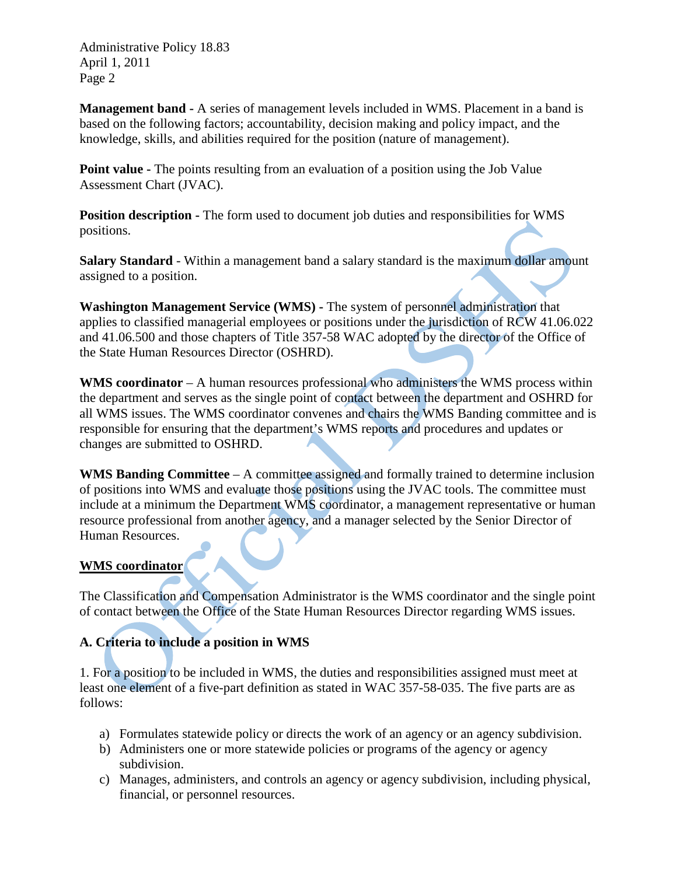Administrative Policy 18.83 April 1, 2011 Page 2

**Management band -** A series of management levels included in WMS. Placement in a band is based on the following factors; accountability, decision making and policy impact, and the knowledge, skills, and abilities required for the position (nature of management).

**Point value -** The points resulting from an evaluation of a position using the Job Value Assessment Chart (JVAC).

**Position description -** The form used to document job duties and responsibilities for WMS positions.

**Salary Standard** - Within a management band a salary standard is the maximum dollar amount assigned to a position.

**Washington Management Service (WMS) -** The system of personnel administration that applies to classified managerial employees or positions under the jurisdiction of RCW 41.06.022 and 41.06.500 and those chapters of Title 357-58 WAC adopted by the director of the Office of the State Human Resources Director (OSHRD).

WMS coordinator – A human resources professional who administers the WMS process within the department and serves as the single point of contact between the department and OSHRD for all WMS issues. The WMS coordinator convenes and chairs the WMS Banding committee and is responsible for ensuring that the department's WMS reports and procedures and updates or changes are submitted to OSHRD.

**WMS Banding Committee** – A committee assigned and formally trained to determine inclusion of positions into WMS and evaluate those positions using the JVAC tools. The committee must include at a minimum the Department WMS coordinator, a management representative or human resource professional from another agency, and a manager selected by the Senior Director of Human Resources.

### **WMS coordinator**

The Classification and Compensation Administrator is the WMS coordinator and the single point of contact between the Office of the State Human Resources Director regarding WMS issues.

## **A. Criteria to include a position in WMS**

1. For a position to be included in WMS, the duties and responsibilities assigned must meet at least one element of a five-part definition as stated in WAC 357-58-035. The five parts are as follows:

- a) Formulates statewide policy or directs the work of an agency or an agency subdivision.
- b) Administers one or more statewide policies or programs of the agency or agency subdivision.
- c) Manages, administers, and controls an agency or agency subdivision, including physical, financial, or personnel resources.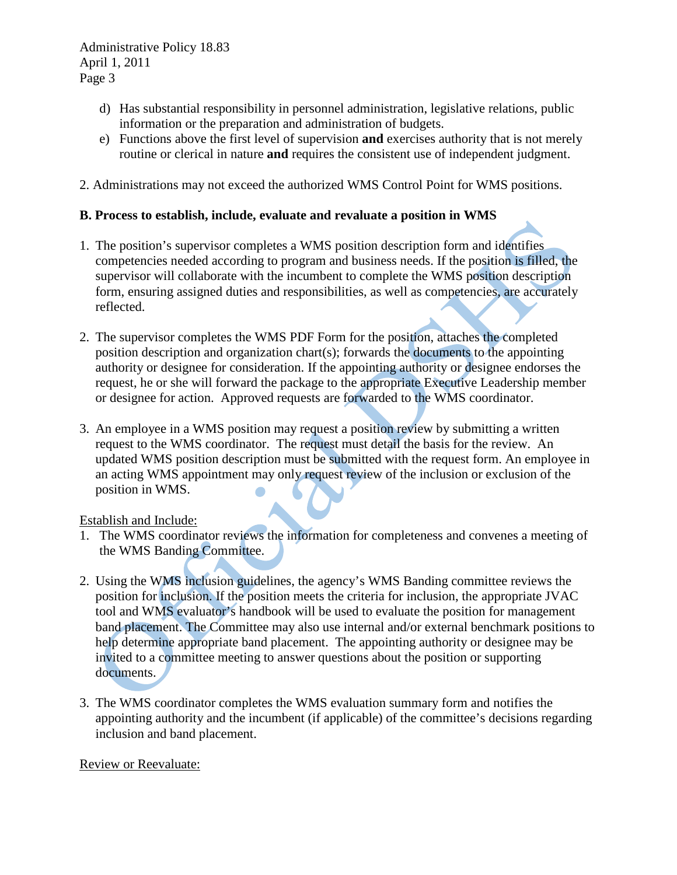Administrative Policy 18.83 April 1, 2011 Page 3

- d) Has substantial responsibility in personnel administration, legislative relations, public information or the preparation and administration of budgets.
- e) Functions above the first level of supervision **and** exercises authority that is not merely routine or clerical in nature **and** requires the consistent use of independent judgment.
- 2. Administrations may not exceed the authorized WMS Control Point for WMS positions.

### **B. Process to establish, include, evaluate and revaluate a position in WMS**

- 1. The position's supervisor completes a WMS position description form and identifies competencies needed according to program and business needs. If the position is filled, the supervisor will collaborate with the incumbent to complete the WMS position description form, ensuring assigned duties and responsibilities, as well as competencies, are accurately reflected.
- 2. The supervisor completes the WMS PDF Form for the position, attaches the completed position description and organization chart(s); forwards the documents to the appointing authority or designee for consideration. If the appointing authority or designee endorses the request, he or she will forward the package to the appropriate Executive Leadership member or designee for action. Approved requests are forwarded to the WMS coordinator.
- 3. An employee in a WMS position may request a position review by submitting a written request to the WMS coordinator. The request must detail the basis for the review. An updated WMS position description must be submitted with the request form. An employee in an acting WMS appointment may only request review of the inclusion or exclusion of the position in WMS.

Establish and Include:

- 1. The WMS coordinator reviews the information for completeness and convenes a meeting of the WMS Banding Committee.
- 2. Using the WMS inclusion guidelines, the agency's WMS Banding committee reviews the position for inclusion. If the position meets the criteria for inclusion, the appropriate JVAC tool and WMS evaluator's handbook will be used to evaluate the position for management band placement. The Committee may also use internal and/or external benchmark positions to help determine appropriate band placement. The appointing authority or designee may be invited to a committee meeting to answer questions about the position or supporting documents.
- 3. The WMS coordinator completes the WMS evaluation summary form and notifies the appointing authority and the incumbent (if applicable) of the committee's decisions regarding inclusion and band placement.

Review or Reevaluate: